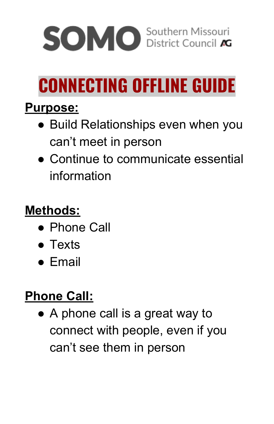

# **CONNECTING OFFLINE GUIDE**

#### **Purpose:**

- Build Relationships even when you can't meet in person
- Continue to communicate essential information

# **Methods:**

- Phone Call
- Texts
- Email

# **Phone Call:**

● A phone call is a great way to connect with people, even if you can't see them in person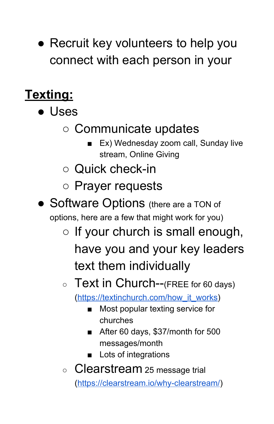• Recruit key volunteers to help you connect with each person in your

# **Texting:**

- Uses
	- Communicate updates
		- Ex) Wednesday zoom call, Sunday live stream, Online Giving
	- Quick check-in
	- Prayer requests
- Software Options (there are a TON of options, here are a few that might work for you)
	- $\circ$  If your church is small enough, have you and your key leaders text them individually

#### $\circ$  Text in Church--(FREE for 60 days)

([https://textinchurch.com/how\\_it\\_works\)](https://textinchurch.com/how_it_works)

- Most popular texting service for churches
- After 60 days, \$37/month for 500 messages/month
- Lots of integrations
- Clearstream 25 message trial (<https://clearstream.io/why-clearstream/>)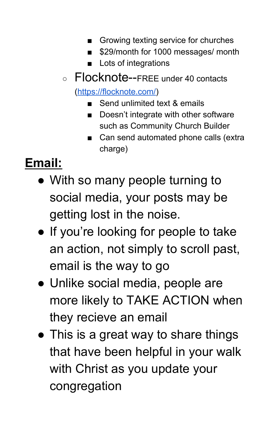- Growing texting service for churches
- \$29/month for 1000 messages/ month
- Lots of integrations
- Flocknote--FREE under 40 contacts ([https://flocknote.com/\)](https://flocknote.com/)
	- Send unlimited text & emails
	- Doesn't integrate with other software such as Community Church Builder
	- Can send automated phone calls (extra charge)

# **Email:**

- With so many people turning to social media, your posts may be getting lost in the noise.
- If you're looking for people to take an action, not simply to scroll past, email is the way to go
- Unlike social media, people are more likely to TAKE ACTION when they recieve an email
- This is a great way to share things that have been helpful in your walk with Christ as you update your congregation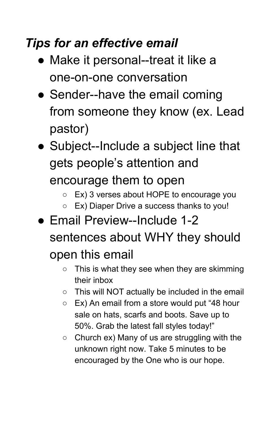#### *Tips for an effective email*

- Make it personal--treat it like a one-on-one conversation
- Sender--have the email coming from someone they know (ex. Lead pastor)
- Subject--Include a subject line that gets people's attention and encourage them to open

○ Ex) 3 verses about HOPE to encourage you

- Ex) Diaper Drive a success thanks to you!
- Email Preview--Include 1-2 sentences about WHY they should open this email
	- $\circ$  This is what they see when they are skimming their inbox
	- This will NOT actually be included in the email
	- Ex) An email from a store would put "48 hour sale on hats, scarfs and boots. Save up to 50%. Grab the latest fall styles today!"
	- $\circ$  Church ex) Many of us are struggling with the unknown right now. Take 5 minutes to be encouraged by the One who is our hope.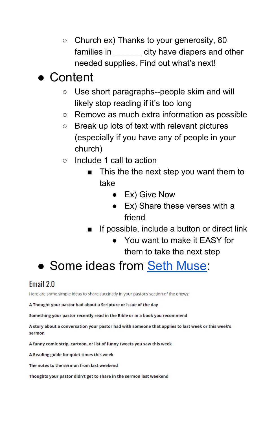○ Church ex) Thanks to your generosity, 80 families in \_\_\_\_\_\_ city have diapers and other needed supplies. Find out what's next!

#### ● Content

- Use short paragraphs--people skim and will likely stop reading if it's too long
- Remove as much extra information as possible
- Break up lots of text with relevant pictures (especially if you have any of people in your church)
- Include 1 call to action
	- This the the next step you want them to take
		- Ex) Give Now
		- Ex) Share these verses with a friend
	- If possible, include a button or direct link
		- You want to make it EASY for them to take the next step

# • Some ideas from [Seth Muse](https://www.sethmuse.com/7-better-uses-for-your-all-church-email-newsletter-than-announcements/):

#### Email 2.0

Here are some simple ideas to share succinctly in your pastor's section of the enews:

A Thought your pastor had about a Scripture or issue of the day

Something your pastor recently read in the Bible or in a book you recommend

A story about a conversation your pastor had with someone that applies to last week or this week's sermon

A funny comic strip, cartoon, or list of funny tweets you saw this week

A Reading guide for quiet times this week

The notes to the sermon from last weekend

Thoughts your pastor didn't get to share in the sermon last weekend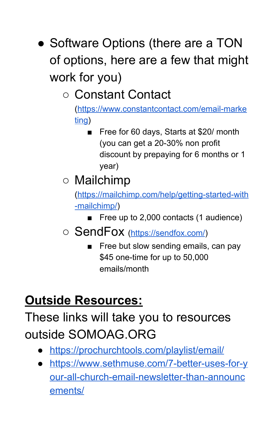• Software Options (there are a TON of options, here are a few that might work for you)

○ Constant Contact

([https://www.constantcontact.com/email-marke](https://www.constantcontact.com/email-marketing) [ting\)](https://www.constantcontact.com/email-marketing)

Free for 60 days, Starts at \$20/ month (you can get a 20-30% non profit discount by prepaying for 6 months or 1 year)

# ○ Mailchimp

([https://mailchimp.com/help/getting-started-with](https://mailchimp.com/help/getting-started-with-mailchimp/) [-mailchimp/\)](https://mailchimp.com/help/getting-started-with-mailchimp/)

- Free up to 2,000 contacts (1 audience)
- SendFox [\(https://sendfox.com/](https://sendfox.com/))
	- Free but slow sending emails, can pay \$45 one-time for up to 50,000 emails/month

# **Outside Resources:**

### These links will take you to resources outside SOMOAG.ORG

- <https://prochurchtools.com/playlist/email/>
- [https://www.sethmuse.com/7-better-uses-for-y](https://www.sethmuse.com/7-better-uses-for-your-all-church-email-newsletter-than-announcements/) [our-all-church-email-newsletter-than-announc](https://www.sethmuse.com/7-better-uses-for-your-all-church-email-newsletter-than-announcements/) [ements/](https://www.sethmuse.com/7-better-uses-for-your-all-church-email-newsletter-than-announcements/)